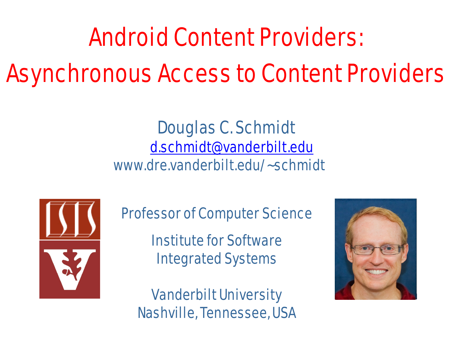# Android Content Providers: Asynchronous Access to Content Providers

#### Douglas C. Schmidt [d.schmidt@vanderbilt.edu](mailto:d.schmidt@vanderbilt.edu) www.dre.vanderbilt.edu/~schmidt



Professor of Computer Science

Institute for Software Integrated Systems

Vanderbilt University Nashville, Tennessee, USA

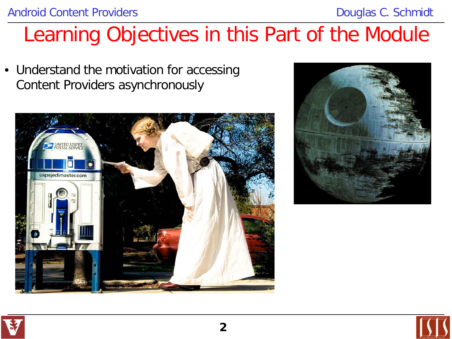## Learning Objectives in this Part of the Module

• Understand the motivation for accessing Content Providers asynchronously





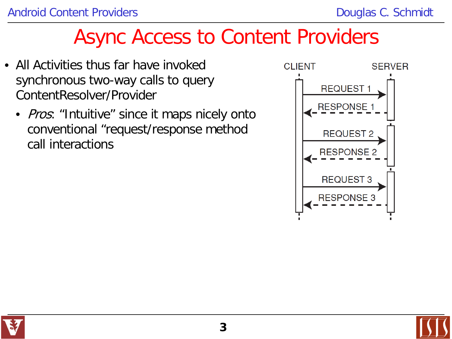- All Activities thus far have invoked synchronous two-way calls to query ContentResolver/Provider
	- *Pros*: "Intuitive" since it maps nicely onto conventional "request/response method call interactions



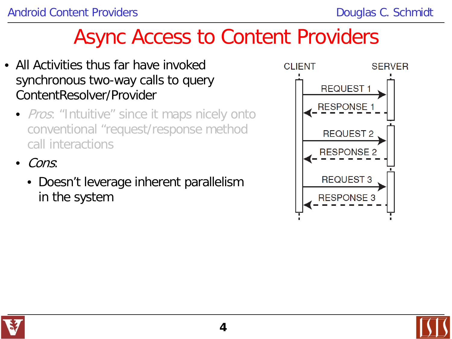- All Activities thus far have invoked synchronous two-way calls to query ContentResolver/Provider
	- *Pros*: "Intuitive" since it maps nicely onto conventional "request/response method call interactions
	- Cons:
		- Doesn't leverage inherent parallelism in the system



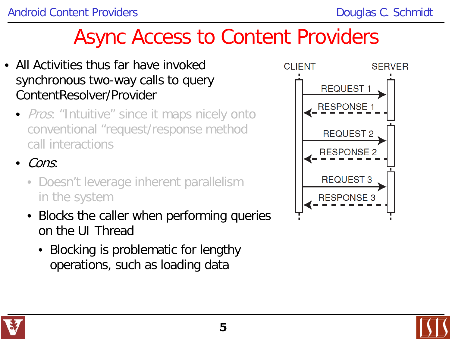- All Activities thus far have invoked synchronous two-way calls to query ContentResolver/Provider
	- *Pros*: "Intuitive" since it maps nicely onto conventional "request/response method call interactions
	- Cons:
		- Doesn't leverage inherent parallelism in the system
		- Blocks the caller when performing queries on the UI Thread
			- Blocking is problematic for lengthy operations, such as loading data





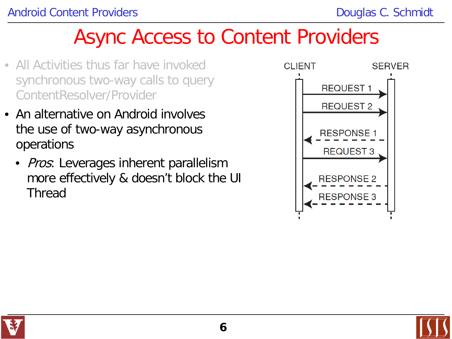- All Activities thus far have invoked synchronous two-way calls to query ContentResolver/Provider
- An alternative on Android involves the use of two-way asynchronous operations
	- *Pros*: Leverages inherent parallelism more effectively & doesn't block the UI Thread



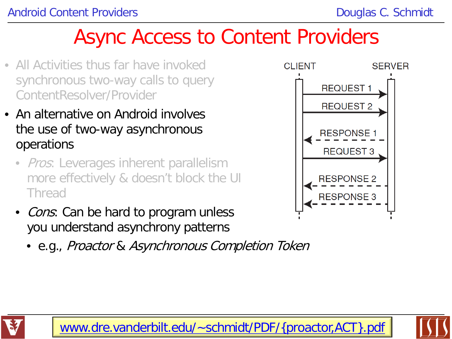- All Activities thus far have invoked synchronous two-way calls to query ContentResolver/Provider
- An alternative on Android involves the use of two-way asynchronous operations
	- *Pros*: Leverages inherent parallelism more effectively & doesn't block the UI Thread
	- Cons: Can be hard to program unless you understand asynchrony patterns
		- e.g., Proactor & Asynchronous Completion Token





**7** [www.dre.vanderbilt.edu/~schmidt/PDF/{proactor,ACT}.pdf](http://www.dre.vanderbilt.edu/~schmidt/PDF/{proactor,ACT}.pdf)

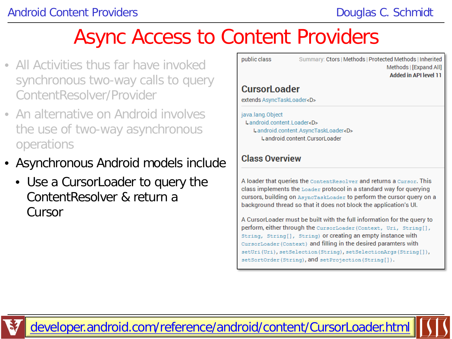- All Activities thus far have invoked synchronous two-way calls to query ContentResolver/Provider
- An alternative on Android involves the use of two-way asynchronous operations
- Asynchronous Android models include
	- Use a CursorLoader to query the ContentResolver & return a **Cursor**

| java.lang.Object                |  |
|---------------------------------|--|
|                                 |  |
| extends AsyncTaskLoader <d></d> |  |
| <b>CursorLoader</b>             |  |

A loader that queries the ContentResolver and returns a Cursor. This class implements the Loader protocol in a standard way for querying cursors, building on AsyncTaskLoader to perform the cursor query on a background thread so that it does not block the application's UI.

A CursorLoader must be built with the full information for the query to perform, either through the CursorLoader (Context, Uri, String[], String, String[], String) or creating an empty instance with CursorLoader (Context) and filling in the desired paramters with setUri(Uri), setSelection(String), setSelectionArgs(String[]), setSortOrder(String), and setProjection(String[]).

**8** [developer.android.com/reference/android/content/CursorLoader.html](http://developer.android.com/reference/android/content/CursorLoader.html)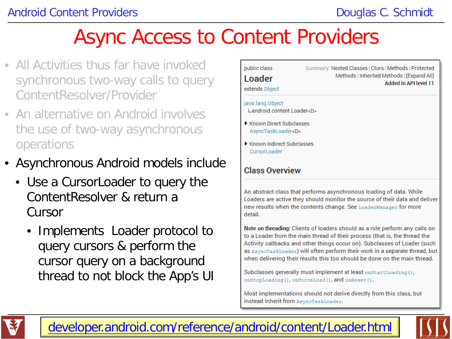- All Activities thus far have invoked synchronous two-way calls to query ContentResolver/Provider
- An alternative on Android involves the use of two-way asynchronous operations
- Asynchronous Android models include
	- Use a CursorLoader to query the ContentResolver & return a Cursor
		- Implements Loader protocol to query cursors & perform the cursor query on a background thread to not block the App's UI



to a Loader from the main thread of their process (that is, the thread the Activity callbacks and other things occur on). Subclasses of Loader (such as AsyncTaskLoader) will often perform their work in a separate thread, but when delivering their results this too should be done on the main thread.

Subclasses generally must implement at least onStartLoading(), onStopLoading(), onForceLoad(), and onReset().

Most implementations should not derive directly from this class, but instead inherit from AsyncTaskLoader.



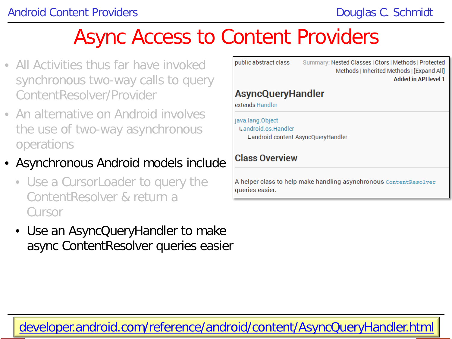- All Activities thus far have invoked synchronous two-way calls to query ContentResolver/Provider
- An alternative on Android involves the use of two-way asynchronous operations
- Asynchronous Android models include
	- Use a CursorLoader to query the ContentResolver & return a Cursor
	- Use an AsyncQueryHandler to make async ContentResolver queries easier

| public abstract class    | Summary: Nested Classes   Ctors   Methods   Protected<br>Methods   Inherited Methods   [Expand All] |
|--------------------------|-----------------------------------------------------------------------------------------------------|
|                          | Added in API level 1                                                                                |
|                          |                                                                                                     |
| <b>AsyncQueryHandler</b> |                                                                                                     |
| extends Handler          |                                                                                                     |

java.lang.Object Landroid os Handler Landroid.content.AsyncQueryHandler

#### **Class Overview**

A helper class to help make handling asynchronous ContentResolver queries easier.

**10** [developer.android.com/reference/android/content/AsyncQueryHandler.html](http://developer.android.com/reference/android/content/AsyncQueryHandler.html)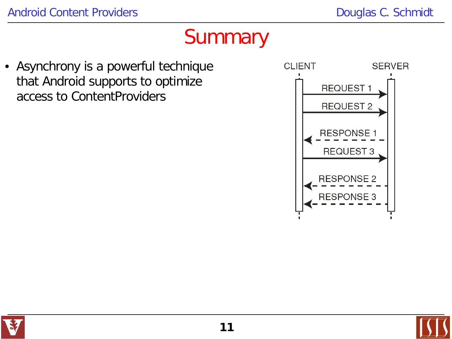#### **Summary**

• Asynchrony is a powerful technique that Android supports to optimize access to ContentProviders



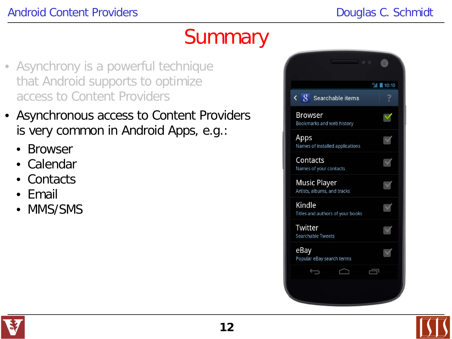#### **Summary**

- Asynchrony is a powerful technique that Android supports to optimize access to Content Providers
- Asynchronous access to Content Providers is very common in Android Apps, e.g.:
	- **Browser**
	- Calendar
	- Contacts
	- Email
	- MMS/SMS



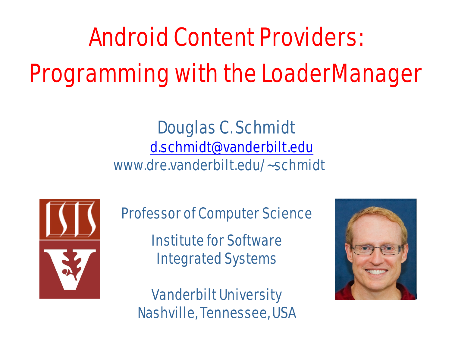# Android Content Providers: Programming with the LoaderManager

#### Douglas C. Schmidt [d.schmidt@vanderbilt.edu](mailto:d.schmidt@vanderbilt.edu) www.dre.vanderbilt.edu/~schmidt



Professor of Computer Science

Institute for Software Integrated Systems

#### Vanderbilt University Nashville, Tennessee, USA

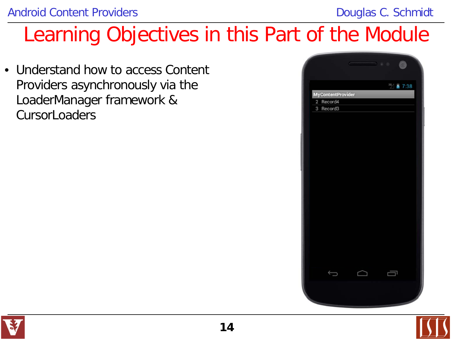### Learning Objectives in this Part of the Module

• Understand how to access Content Providers asynchronously via the LoaderManager framework & **CursorLoaders** 





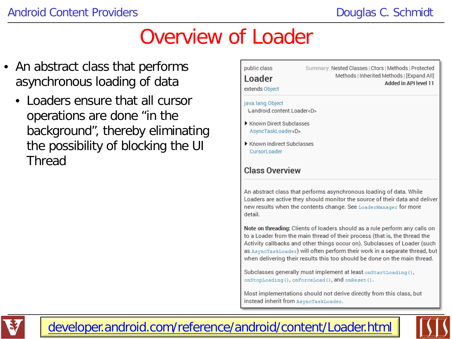#### Overview of Loader

- An abstract class that performs asynchronous loading of data
	- Loaders ensure that all cursor operations are done "in the background", thereby eliminating the possibility of blocking the UI Thread



when delivering their results this too should be done on the main thread.

Subclasses generally must implement at least onStartLoading(), onStopLoading(), onForceLoad(), and onReset().

Most implementations should not derive directly from this class, but instead inherit from AsyncTaskLoader.



**15** [developer.android.com/reference/android/content/Loader.html](http://developer.android.com/reference/android/content/Loader.html)

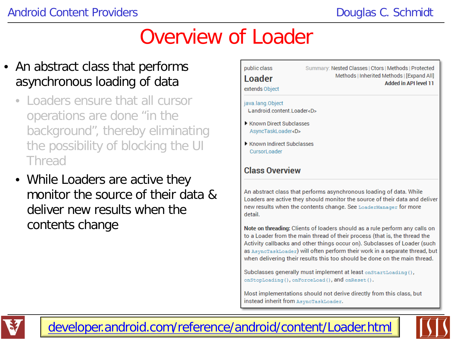#### Overview of Loader

- An abstract class that performs asynchronous loading of data
	- Loaders ensure that all cursor operations are done "in the background", thereby eliminating the possibility of blocking the UI **Thread**
	- While Loaders are active they monitor the source of their data & deliver new results when the contents change



to a Loader from the main thread of their process (that is, the thread the Activity callbacks and other things occur on). Subclasses of Loader (such as AsyncTaskLoader) will often perform their work in a separate thread, but when delivering their results this too should be done on the main thread.

Subclasses generally must implement at least onStartLoading(), onStopLoading(), onForceLoad(), and onReset().

Most implementations should not derive directly from this class, but instead inherit from AsyncTaskLoader.



**16** [developer.android.com/reference/android/content/Loader.html](http://developer.android.com/reference/android/content/Loader.html)

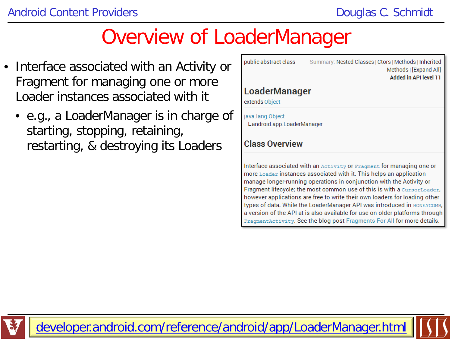#### Overview of LoaderManager

- Interface associated with an Activity or Fragment for managing one or more Loader instances associated with it
	- e.g., a LoaderManager is in charge of starting, stopping, retaining, restarting, & destroying its Loaders

| public abstract class                          | Summary: Nested Classes   Ctors   Methods   Inherited<br>Methods   [Expand All]<br>Added in API level 11                                                                                                                                                                                                                                                                      |
|------------------------------------------------|-------------------------------------------------------------------------------------------------------------------------------------------------------------------------------------------------------------------------------------------------------------------------------------------------------------------------------------------------------------------------------|
| <b>LoaderManager</b><br>extends Object         |                                                                                                                                                                                                                                                                                                                                                                               |
| java.lang.Object<br>Landroid.app.LoaderManager |                                                                                                                                                                                                                                                                                                                                                                               |
| <b>Class Overview</b>                          |                                                                                                                                                                                                                                                                                                                                                                               |
|                                                | Interface associated with an Activity or Fragment for managing one or<br>more Loader instances associated with it. This helps an application<br>manage longer-running operations in conjunction with the Activity or<br>Fragment lifecycle; the most common use of this is with a CursorLoader,<br>however applications are free to write their own loaders for loading other |

types of data. While the LoaderManager API was introduced in HONEYCOMB, a version of the API at is also available for use on older platforms through FragmentActivity. See the blog post Fragments For All for more details.

**17** [developer.android.com/reference/android/app/LoaderManager.html](http://developer.android.com/reference/android/app/LoaderManager.html)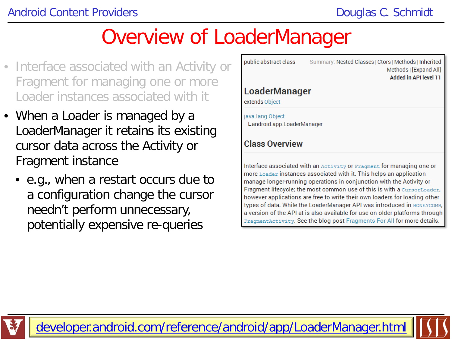#### Overview of LoaderManager

- Interface associated with an Activity or Fragment for managing one or more Loader instances associated with it
- When a Loader is managed by a LoaderManager it retains its existing cursor data across the Activity or Fragment instance
	- e.g., when a restart occurs due to a configuration change the cursor needn't perform unnecessary, potentially expensive re-queries

| public abstract class                          | Summary: Nested Classes   Ctors   Methods   Innerited<br>Methods   [Expand All]<br>Added in API level 11                                                                                                                                                                                               |
|------------------------------------------------|--------------------------------------------------------------------------------------------------------------------------------------------------------------------------------------------------------------------------------------------------------------------------------------------------------|
| <b>LoaderManager</b><br>extends Object         |                                                                                                                                                                                                                                                                                                        |
| java.lang.Object<br>Landroid.app.LoaderManager |                                                                                                                                                                                                                                                                                                        |
| <b>Class Overview</b>                          |                                                                                                                                                                                                                                                                                                        |
|                                                | Interface associated with an Activity or Fragment for managing one or<br>more Loader instances associated with it. This helps an application<br>manage longer-running operations in conjunction with the Activity or<br><b>Eragment lifecycle: the most common use of this is with a CursorLoader.</b> |

however applications are free to write their own loaders for loading other types of data. While the LoaderManager API was introduced in HONEYCOMB, a version of the API at is also available for use on older platforms through FragmentActivity. See the blog post Fragments For All for more details.



**18** [developer.android.com/reference/android/app/LoaderManager.html](http://developer.android.com/reference/android/app/LoaderManager.html)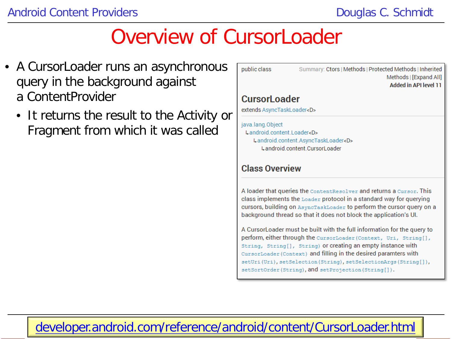- A Cursor Loader runs an asynchronous query in the background against a ContentProvider
	- It returns the result to the Activity or Fragment from which it was called

#### public class Summary: Ctors | Methods | Protected Methods | Inherited Methods | [Expand All] **Added in API level 11 Cursorl oader** extends AsyncTaskLoader<D> java.lang.Object Landroid.content.Loader<D> Landroid.content.AsyncTaskLoader<D>

Landroid.content.CursorLoader

#### **Class Overview**

A loader that queries the ContentResolver and returns a Cursor. This class implements the Loader protocol in a standard way for querying cursors, building on AsyncTaskLoader to perform the cursor query on a background thread so that it does not block the application's UI.

A CursorLoader must be built with the full information for the query to perform, either through the CursorLoader (Context, Uri, String[], String, String[], String) or creating an empty instance with CursorLoader (Context) and filling in the desired paramters with setUri(Uri), setSelection(String), setSelectionArgs(String[]), setSortOrder(String), and setProjection(String[]).

#### **19** [developer.android.com/reference/android/content/CursorLoader.html](http://developer.android.com/reference/android/content/CursorLoader.html)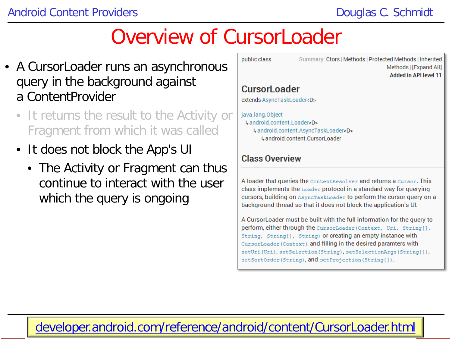- A Cursor Loader runs an asynchronous query in the background against a ContentProvider
	- It returns the result to the Activity or Fragment from which it was called
	- It does not block the App's UI
		- The Activity or Fragment can thus continue to interact with the user which the query is ongoing

| public class                                        | Summary: Ctors   Methods   Protected Methods   Inherited<br>Methods   [Expand All]<br><b>Added in API level 11</b> |
|-----------------------------------------------------|--------------------------------------------------------------------------------------------------------------------|
| <b>CursorLoader</b>                                 |                                                                                                                    |
| extends AsyncTaskLoader <d></d>                     |                                                                                                                    |
| java.lang.Object<br>Landroid content Loader <d></d> |                                                                                                                    |
|                                                     | Landroid.content.AsyncTaskLoader <d></d>                                                                           |
|                                                     | Landroid content CursorLoader                                                                                      |
| <b>Class Overview</b>                               |                                                                                                                    |

A loader that queries the ContentResolver and returns a Cursor. This class implements the Loader protocol in a standard way for querying cursors, building on AsyncTaskLoader to perform the cursor query on a background thread so that it does not block the application's UI.

A Cursor Loader must be built with the full information for the query to perform, either through the CursorLoader (Context, Uri, String[], String, String[], String) or creating an empty instance with CursorLoader (Context) and filling in the desired paramters with setUri(Uri), setSelection(String), setSelectionArgs(String[]), setSortOrder(String), and setProjection(String[]).

#### **20** [developer.android.com/reference/android/content/CursorLoader.html](http://developer.android.com/reference/android/content/CursorLoader.html)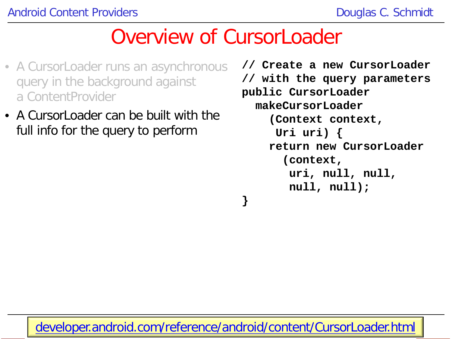- A CursorLoader runs an asynchronous query in the background against a ContentProvider
- A CursorLoader can be built with the full info for the query to perform

**// Create a new CursorLoader // with the query parameters public CursorLoader makeCursorLoader (Context context, Uri uri) { return new CursorLoader (context, uri, null, null, null, null);**

**21** [developer.android.com/reference/android/content/CursorLoader.html](http://developer.android.com/reference/android/content/CursorLoader.html)

**}**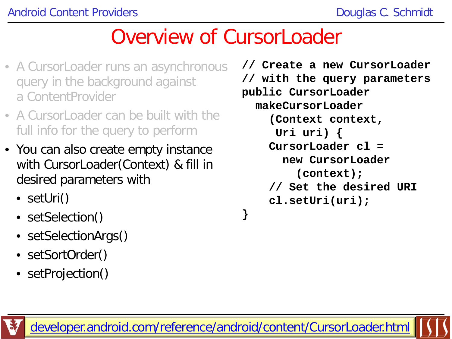- A CursorLoader runs an asynchronous query in the background against a ContentProvider
- A CursorLoader can be built with the full info for the query to perform
- You can also create empty instance with CursorLoader(Context) & fill in desired parameters with
	- setUri()
	- setSelection()
	- setSelectionArgs()
	- setSortOrder()
	- setProjection()

```
// Create a new CursorLoader
// with the query parameters
public CursorLoader
   makeCursorLoader
     (Context context,
      Uri uri) {
     CursorLoader cl = 
       new CursorLoader
          (context);
     // Set the desired URI
     cl.setUri(uri);
}
```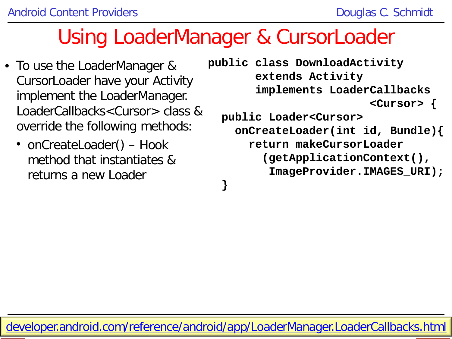#### Using LoaderManager & CursorLoader

- To use the LoaderManager & CursorLoader have your Activity implement the LoaderManager. LoaderCallbacks<Cursor> class & override the following methods:
	- onCreateLoader() Hook method that instantiates & returns a new Loader

```
public class DownloadActivity
        extends Activity 
        implements LoaderCallbacks
                           <Cursor> {
  public Loader<Cursor> 
     onCreateLoader(int id, Bundle){
       return makeCursorLoader
          (getApplicationContext(), 
          ImageProvider.IMAGES_URI);
  }
```
**23** [developer.android.com/reference/android/app/LoaderManager.LoaderCallbacks.html](http://developer.android.com/reference/android/app/LoaderManager.LoaderCallbacks.html)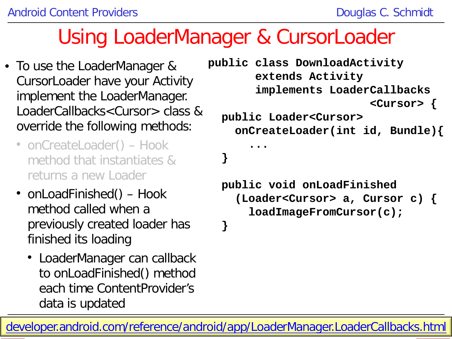#### Using LoaderManager & CursorLoader

- To use the LoaderManager & CursorLoader have your Activity implement the LoaderManager. LoaderCallbacks<Cursor> class & override the following methods:
	- onCreateLoader() Hook method that instantiates & returns a new Loader
	- onLoadFinished() Hook method called when a previously created loader has finished its loading
		- LoaderManager can callback to onLoadFinished() method each time ContentProvider's data is updated

```
public class DownloadActivity
        extends Activity 
        implements LoaderCallbacks
                          <Cursor> {
  public Loader<Cursor> 
     onCreateLoader(int id, Bundle){
.......
  }
   public void onLoadFinished
     (Loader<Cursor> a, Cursor c) {
```
 **loadImageFromCursor(c);**

 **}**

**24** [developer.android.com/reference/android/app/LoaderManager.LoaderCallbacks.html](http://developer.android.com/reference/android/app/LoaderManager.LoaderCallbacks.html)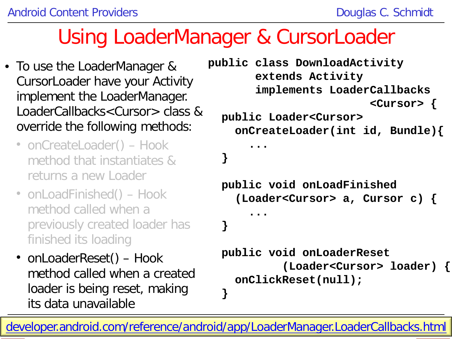#### Using LoaderManager & CursorLoader

- To use the LoaderManager & CursorLoader have your Activity implement the LoaderManager. LoaderCallbacks<Cursor> class & override the following methods:
	- onCreateLoader() Hook method that instantiates & returns a new Loader
	- onLoadFinished() Hook method called when a previously created loader has finished its loading
	- onLoaderReset() Hook method called when a created loader is being reset, making its data unavailable

```
public class DownloadActivity
        extends Activity 
        implements LoaderCallbacks
                          <Cursor> {
  public Loader<Cursor> 
     onCreateLoader(int id, Bundle){
.......
  }
   public void onLoadFinished
     (Loader<Cursor> a, Cursor c) {
......
 }
  public void onLoaderReset
            (Loader<Cursor> loader) {
     onClickReset(null);
```
**25** [developer.android.com/reference/android/app/LoaderManager.LoaderCallbacks.html](http://developer.android.com/reference/android/app/LoaderManager.LoaderCallbacks.html)

 **}**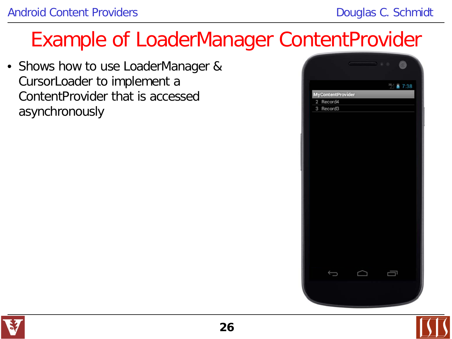• Shows how to use LoaderManager & CursorLoader to implement a ContentProvider that is accessed asynchronously



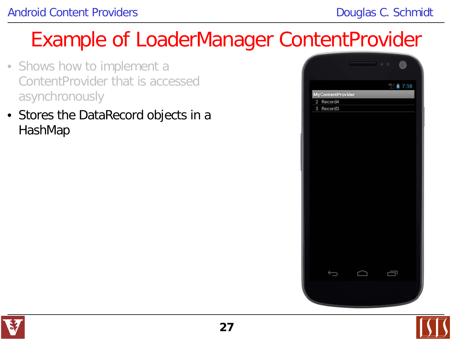- Shows how to implement a ContentProvider that is accessed asynchronously
- Stores the DataRecord objects in a HashMap



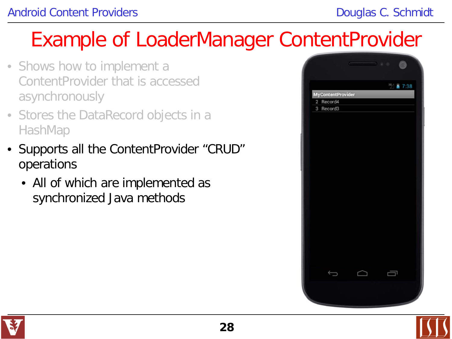- Shows how to implement a ContentProvider that is accessed asynchronously
- Stores the DataRecord objects in a HashMap
- Supports all the ContentProvider "CRUD" operations
	- All of which are implemented as synchronized Java methods



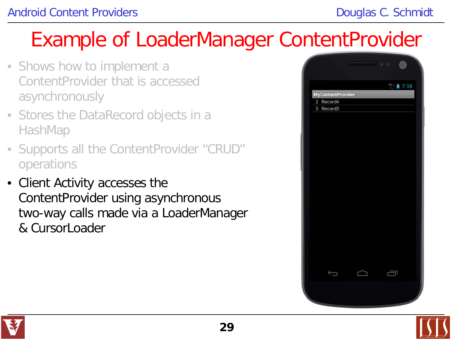- Shows how to implement a ContentProvider that is accessed asynchronously
- Stores the DataRecord objects in a HashMap
- Supports all the ContentProvider "CRUD" operations
- Client Activity accesses the ContentProvider using asynchronous two-way calls made via a LoaderManager & CursorLoader





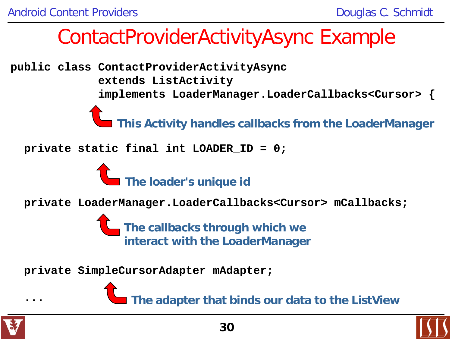**public class ContactProviderActivityAsync extends ListActivity**

 **implements LoaderManager.LoaderCallbacks<Cursor> {**

**This Activity handles callbacks from the LoaderManager** 

 **private static final int LOADER\_ID = 0;**



 **private LoaderManager.LoaderCallbacks<Cursor> mCallbacks;**

**The callbacks through which we interact with the LoaderManager**

 **private SimpleCursorAdapter mAdapter;**

**The adapter that binds our data to the ListView**



**...**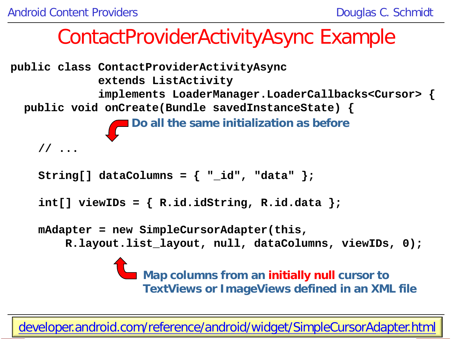

**TextViews or ImageViews defined in an XML file**

**31** [developer.android.com/reference/android/widget/SimpleCursorAdapter.html](http://developer.android.com/reference/android/widget/SimpleCursorAdapter.html)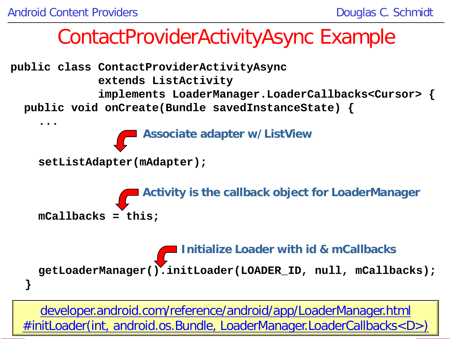

**32** [#initLoader\(int, android.os.Bundle, LoaderManager.LoaderCallbacks<D>\)](http://developer.android.com/reference/android/app/LoaderManager.html#initLoader(int, android.os.Bundle, android.app.LoaderManager.LoaderCallbacks<D>))[developer.android.com/reference/android/app/LoaderManager.html](http://developer.android.com/reference/android/app/LoaderManager.html#initLoader(int, android.os.Bundle, android.app.LoaderManager.LoaderCallbacks<D>))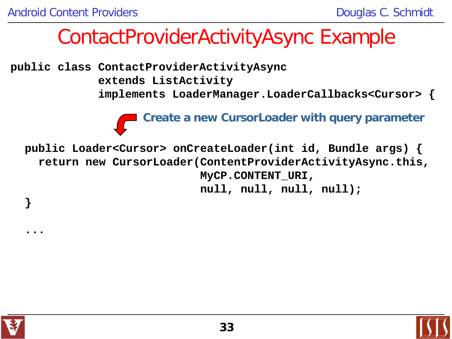**public class ContactProviderActivityAsync extends ListActivity implements LoaderManager.LoaderCallbacks<Cursor> {**

**Create a new CursorLoader with query parameter**

 **public Loader<Cursor> onCreateLoader(int id, Bundle args) { return new CursorLoader(ContentProviderActivityAsync.this, MyCP.CONTENT\_URI, null, null, null, null);**



 **}**

 **...**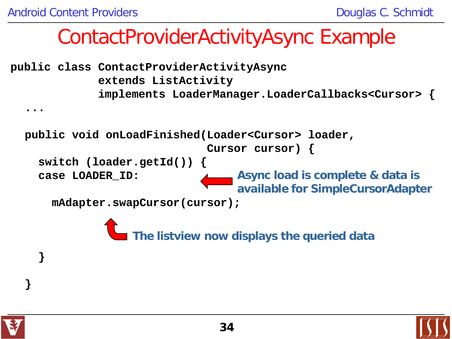**public class ContactProviderActivityAsync extends ListActivity implements LoaderManager.LoaderCallbacks<Cursor> {**

 **public void onLoadFinished(Loader<Cursor> loader,** 

 **Cursor cursor) {**

 **switch (loader.getId()) { case LOADER\_ID:**

**Async load is complete & data is available for SimpleCursorAdapter**

 **mAdapter.swapCursor(cursor);**

**The listview now displays the queried data**



 **}**

 **}**

 **...**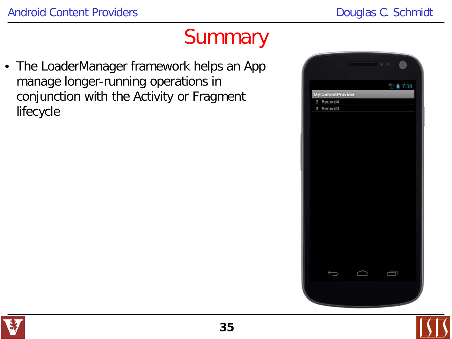#### **Summary**

• The LoaderManager framework helps an App manage longer-running operations in conjunction with the Activity or Fragment lifecycle





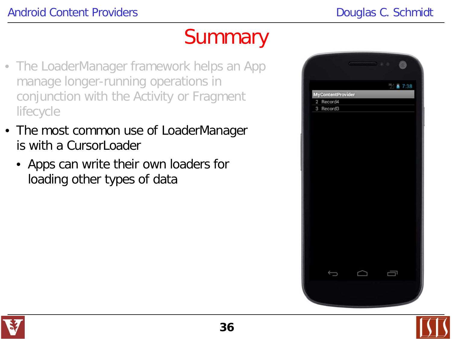#### **Summary**

- The LoaderManager framework helps an App manage longer-running operations in conjunction with the Activity or Fragment lifecycle
- The most common use of LoaderManager is with a Cursorl pader
	- Apps can write their own loaders for loading other types of data





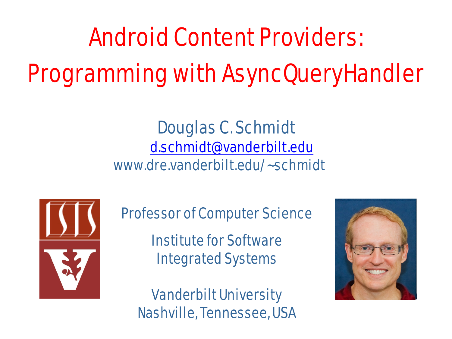# Android Content Providers: Programming with AsyncQueryHandler

#### Douglas C. Schmidt [d.schmidt@vanderbilt.edu](mailto:d.schmidt@vanderbilt.edu) www.dre.vanderbilt.edu/~schmidt



Professor of Computer Science

Institute for Software Integrated Systems

Vanderbilt University Nashville, Tennessee, USA

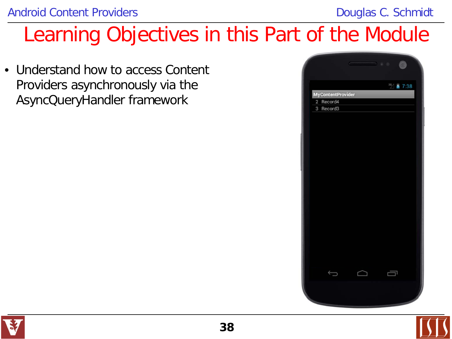### Learning Objectives in this Part of the Module

• Understand how to access Content Providers asynchronously via the AsyncQueryHandler framework





**38**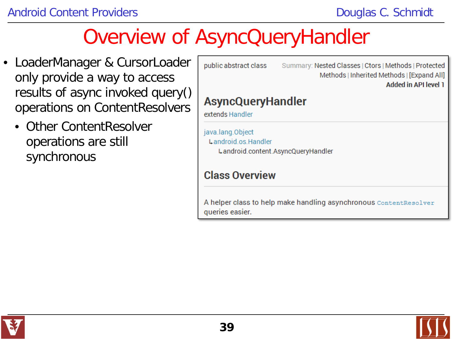- LoaderManager & CursorLoader only provide a way to access results of async invoked query() operations on ContentResolvers
	- Other ContentResolver operations are still synchronous

| public abstract class                       | Summary: Nested Classes   Ctors   Methods   Protected<br>Methods   Inherited Methods   [Expand All]<br><b>Added in API level 1</b> |
|---------------------------------------------|------------------------------------------------------------------------------------------------------------------------------------|
| <b>AsyncQueryHandler</b><br>extends Handler |                                                                                                                                    |
| java.lang.Object<br>Landroid os Handler     | Landroid.content.AsyncQueryHandler                                                                                                 |
| <b>Class Overview</b>                       |                                                                                                                                    |
| queries easier.                             | A helper class to help make handling asynchronous contentResolver                                                                  |

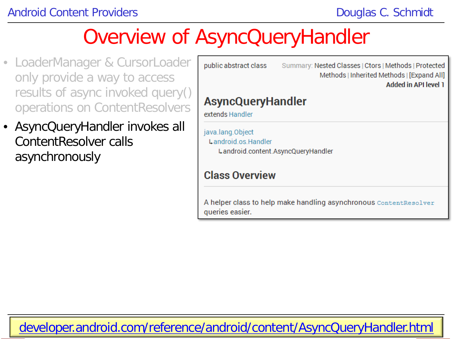- LoaderManager & CursorLoader only provide a way to access results of async invoked query() operations on ContentResolvers
- AsyncQueryHandler invokes all ContentResolver calls asynchronously

| public abstract class                                                         | Summary: Nested Classes   Ctors   Methods   Protected<br>Methods   Inherited Methods   [Expand All]<br>Added in API level 1 |
|-------------------------------------------------------------------------------|-----------------------------------------------------------------------------------------------------------------------------|
| AsyncQueryHandler                                                             |                                                                                                                             |
| extends Handler                                                               |                                                                                                                             |
| java.lang.Object<br>Landroid.os.Handler<br>Landroid.content.AsyncQueryHandler |                                                                                                                             |
| Class Overview                                                                |                                                                                                                             |
| queries easier.                                                               | A helper class to help make handling asynchronous $\mathtt{Contentsolver}$                                                  |

**40** [developer.android.com/reference/android/content/AsyncQueryHandler.html](http://developer.android.com/reference/android/content/AsyncQueryHandler.html)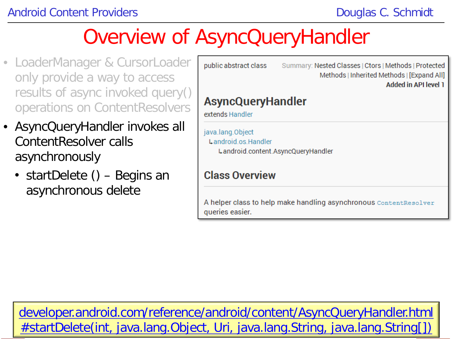- LoaderManager & CursorLoader only provide a way to access results of async invoked query() operations on ContentResolvers
- AsyncQueryHandler invokes all ContentResolver calls asynchronously
	- startDelete () Begins an asynchronous delete

| public abstract class                                                         | Summary: Nested Classes   Ctors   Methods   Protected<br>Methods   Inherited Methods   [Expand All]<br><b>Added in API level 1</b> |
|-------------------------------------------------------------------------------|------------------------------------------------------------------------------------------------------------------------------------|
| <b>AsyncQueryHandler</b><br>extends Handler                                   |                                                                                                                                    |
| java.lang.Object<br>Landroid os Handler<br>Landroid.content.AsyncQueryHandler |                                                                                                                                    |
| <b>Class Overview</b>                                                         |                                                                                                                                    |
| queries easier.                                                               | A helper class to help make handling asynchronous ContentResolver                                                                  |

**41** [#startDelete\(int, java.lang.Object, Uri, java.lang.String, java.lang.String\[\]\)](http://developer.android.com/reference/android/content/AsyncQueryHandler.html#startDelete(int, java.lang.Object, android.net.Uri, java.lang.String, java.lang.String[]))[developer.android.com/reference/android/content/AsyncQueryHandler.html](http://developer.android.com/reference/android/content/AsyncQueryHandler.html#startDelete(int, java.lang.Object, android.net.Uri, java.lang.String, java.lang.String[]))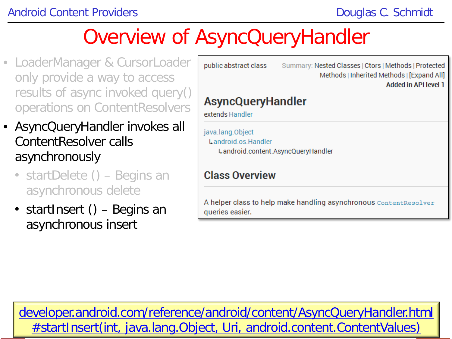- LoaderManager & CursorLoader only provide a way to access results of async invoked query() operations on ContentResolvers
- AsyncQueryHandler invokes all ContentResolver calls asynchronously
	- startDelete () Begins an asynchronous delete
	- startInsert () Begins an asynchronous insert

| public abstract class                                                        | Summary: Nested Classes   Ctors   Methods   Protected<br>Methods   Inherited Methods   [Expand All]<br><b>Added in API level 1</b> |
|------------------------------------------------------------------------------|------------------------------------------------------------------------------------------------------------------------------------|
| AsyncQueryHandler<br>extends Handler                                         |                                                                                                                                    |
| ava.lang.Object<br>Landroid.os.Handler<br>Landroid.content.AsyncQueryHandler |                                                                                                                                    |
| Class Overview                                                               |                                                                                                                                    |
| queries easier.                                                              | A helper class to help make handling asynchronous <code>contentResolver</code>                                                     |
|                                                                              |                                                                                                                                    |

**42** [#startInsert\(int, java.lang.Object, Uri, android.content.ContentValues\)](http://developer.android.com/reference/android/content/AsyncQueryHandler.html#startInsert(int, java.lang.Object, android.net.Uri, android.content.ContentValues))[developer.android.com/reference/android/content/AsyncQueryHandler.html](http://developer.android.com/reference/android/content/AsyncQueryHandler.html#startInsert(int, java.lang.Object, android.net.Uri, android.content.ContentValues))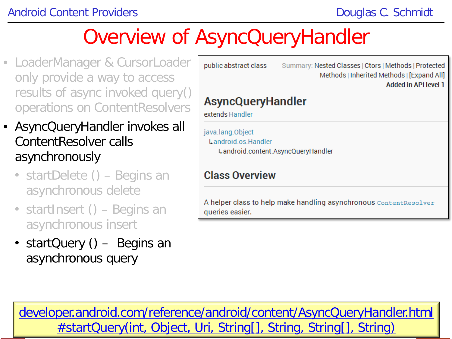- LoaderManager & CursorLoader only provide a way to access results of async invoked query() operations on ContentResolvers
- AsyncQueryHandler invokes all ContentResolver calls asynchronously
	- startDelete () Begins an asynchronous delete
	- startInsert () Begins an asynchronous insert
	- startQuery () Begins an asynchronous query

| Summary: Nested Classes   Ctors   Methods   Protected<br>Methods   Inherited Methods   [Expand All]<br><b>Added in API level 1</b><br>Landroid os Handler<br>Landroid.content.AsyncQueryHandler |                       |  |
|-------------------------------------------------------------------------------------------------------------------------------------------------------------------------------------------------|-----------------------|--|
| AsyncQueryHandler<br>extends Handler<br>java.lang.Object<br>Class Overview<br>A helper class to help make handling asynchronous contentResolver<br>queries easier.                              | public abstract class |  |
|                                                                                                                                                                                                 |                       |  |
|                                                                                                                                                                                                 |                       |  |
|                                                                                                                                                                                                 |                       |  |
|                                                                                                                                                                                                 |                       |  |

**43** [#startQuery\(int, Object, Uri, String\[\], String, String\[\], String\)](http://developer.android.com/reference/android/content/AsyncQueryHandler.html#startQuery(int, java.lang.Object, android.net.Uri, java.lang.String[], java.lang.String, java.lang.String[], java.lang.String))[developer.android.com/reference/android/content/AsyncQueryHandler.html](http://developer.android.com/reference/android/content/AsyncQueryHandler.html#startQuery(int, java.lang.Object, android.net.Uri, java.lang.String[], java.lang.String, java.lang.String[], java.lang.String))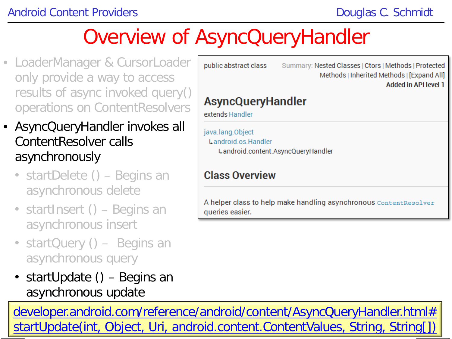- LoaderManager & CursorLoade only provide a way to access results of async invoked query operations on ContentResolver
- AsyncQueryHandler invokes all ContentResolver calls asynchronously
	- startDelete () Begins an asynchronous delete
	- startInsert () Begins an asynchronous insert
	- startQuery () Begins an asynchronous query
	- startUpdate () Begins an asynchronous update

| public abstract class                       | Summary: Nested Classes   Ctors   Methods   Protected<br>Methods   Inherited Methods   [Expand All]<br>Added in API level 1 |
|---------------------------------------------|-----------------------------------------------------------------------------------------------------------------------------|
| <b>AsyncQueryHandler</b><br>extends Handler |                                                                                                                             |
| java.lang.Object<br>Landroid.os.Handler     | Landroid.content.AsyncQueryHandler                                                                                          |
| <b>Class Overview</b>                       |                                                                                                                             |

[startUpdate\(int, Object, Uri, android.content.ContentValues, String, String\[\]\)](http://developer.android.com/reference/android/content/AsyncQueryHandler.html#startUpdate(int, java.lang.Object, android.net.Uri, android.content.ContentValues, java.lang.String, java.lang.String[])) [developer.android.com/reference/android/content/AsyncQueryHandler.html#](http://developer.android.com/reference/android/content/AsyncQueryHandler.html#startUpdate(int, java.lang.Object, android.net.Uri, android.content.ContentValues, java.lang.String, java.lang.String[]))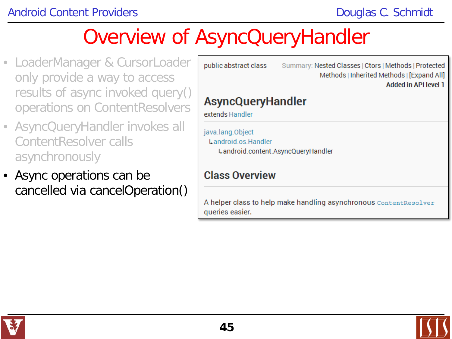- LoaderManager & CursorLoader only provide a way to access results of async invoked query() operations on ContentResolvers
- AsyncQueryHandler invokes all ContentResolver calls asynchronously
- Async operations can be cancelled via cancelOperation()

| public abstract class                                                         | Summary: Nested Classes   Ctors   Methods   Protected<br>Methods   Inherited Methods   [Expand All]<br><b>Added in API level 1</b> |
|-------------------------------------------------------------------------------|------------------------------------------------------------------------------------------------------------------------------------|
| <b>AsyncQueryHandler</b><br>extends Handler                                   |                                                                                                                                    |
| java.lang.Object<br>Landroid os Handler<br>Landroid.content.AsyncQueryHandler |                                                                                                                                    |
| <b>Class Overview</b>                                                         |                                                                                                                                    |
| queries easier.                                                               | A helper class to help make handling asynchronous ContentResolver                                                                  |

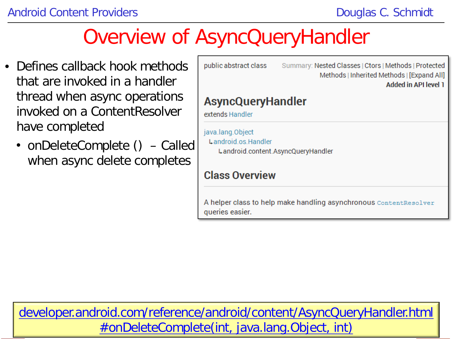- Defines callback hook methods that are invoked in a handler thread when async operations invoked on a ContentResolver have completed
	- onDeleteComplete () Called when async delete completes

| public abstract class                                                         | Summary: Nested Classes   Ctors   Methods   Protected<br>Methods   Inherited Methods   [Expand All]<br><b>Added in API level 1</b> |  |  |  |  |
|-------------------------------------------------------------------------------|------------------------------------------------------------------------------------------------------------------------------------|--|--|--|--|
| AsyncQueryHandler<br>extends Handler                                          |                                                                                                                                    |  |  |  |  |
| java.lang.Object<br>Landroid.os.Handler<br>Landroid.content.AsyncQueryHandler |                                                                                                                                    |  |  |  |  |
| Class Overview                                                                |                                                                                                                                    |  |  |  |  |
| queries easier.                                                               | A helper class to help make handling asynchronous ContentResolver                                                                  |  |  |  |  |

**46** [#onDeleteComplete\(int, java.lang.Object, int\)](http://developer.android.com/reference/android/content/AsyncQueryHandler.html#onDeleteComplete(int, java.lang.Object, int))[developer.android.com/reference/android/content/AsyncQueryHandler.html](http://developer.android.com/reference/android/content/AsyncQueryHandler.html#onDeleteComplete(int, java.lang.Object, int))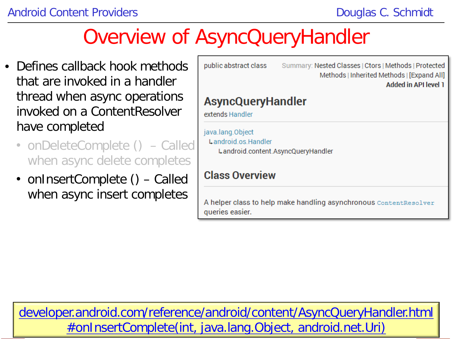- Defines callback hook methods that are invoked in a handler thread when async operations invoked on a ContentResolver have completed
	- onDeleteComplete () Called when async delete completes
	- onInsertComplete () Called when async insert completes

| public abstract class                       | Summary: Nested Classes   Ctors   Methods   Protected<br>Methods   Inherited Methods   [Expand All]<br><b>Added in API level 1</b> |  |  |  |  |
|---------------------------------------------|------------------------------------------------------------------------------------------------------------------------------------|--|--|--|--|
| <b>AsyncQueryHandler</b><br>extends Handler |                                                                                                                                    |  |  |  |  |
| java.lang.Object<br>Landroid os Handler     | Landroid.content.AsyncQueryHandler                                                                                                 |  |  |  |  |
| <b>Class Overview</b>                       |                                                                                                                                    |  |  |  |  |
| queries easier.                             | A helper class to help make handling asynchronous ContentResolver                                                                  |  |  |  |  |

**47** [#onInsertComplete\(int, java.lang.Object, android.net.Uri\)](http://developer.android.com/reference/android/content/AsyncQueryHandler.html#onInsertComplete(int, java.lang.Object, android.net.Uri))[developer.android.com/reference/android/content/AsyncQueryHandler.html](http://developer.android.com/reference/android/content/AsyncQueryHandler.html#onInsertComplete(int, java.lang.Object, android.net.Uri))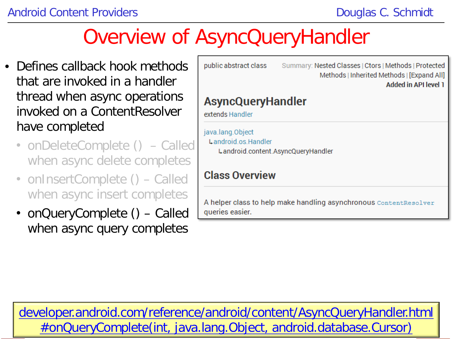- Defines callback hook methods that are invoked in a handler thread when async operations invoked on a ContentResolver have completed
	- onDeleteComplete () Called when async delete completes
	- onInsertComplete () Called when async insert completes
	- onQueryComplete () Called when async query completes

| public abstract class                   | Summary: Nested Classes   Ctors   Methods   Protected<br>Methods   Inherited Methods   [Expand All]<br><b>Added in API level 1</b> |
|-----------------------------------------|------------------------------------------------------------------------------------------------------------------------------------|
| AsyncQueryHandler<br>extends Handler    |                                                                                                                                    |
| java.lang.Object<br>Landroid os Handler | Landroid.content.AsyncQueryHandler                                                                                                 |
| <b>Class Overview</b>                   |                                                                                                                                    |
| queries easier.                         | A helper class to help make handling asynchronous ContentResolver                                                                  |
|                                         |                                                                                                                                    |

**48** [#onQueryComplete\(int, java.lang.Object, android.database.Cursor\)](http://developer.android.com/reference/android/content/AsyncQueryHandler.html#onQueryComplete(int, java.lang.Object, android.database.Cursor))[developer.android.com/reference/android/content/AsyncQueryHandler.html](http://developer.android.com/reference/android/content/AsyncQueryHandler.html#onQueryComplete(int, java.lang.Object, android.database.Cursor))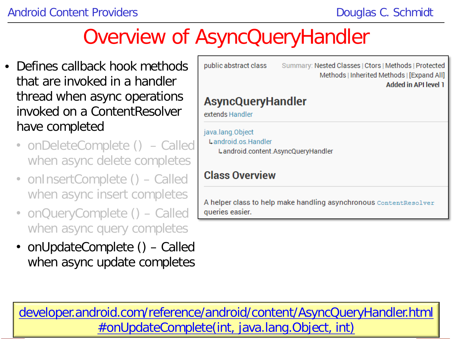- Defines callback hook methods that are invoked in a handler thread when async operations invoked on a ContentResolver have completed
	- onDeleteComplete () Called when async delete completes
	- onInsertComplete () Called when async insert completes
	- onQueryComplete () Called when async query completes
	- onUpdateComplete () Called when async update completes

| public abstract class                                                         | Summary: Nested Classes   Ctors   Methods   Protected<br>Methods   Inherited Methods   [Expand All]<br><b>Added in API level 1</b> |
|-------------------------------------------------------------------------------|------------------------------------------------------------------------------------------------------------------------------------|
| AsyncQueryHandler<br>extends Handler                                          |                                                                                                                                    |
| java.lang.Object<br>Landroid.os.Handler<br>Landroid.content.AsyncQueryHandler |                                                                                                                                    |
| Class Overview                                                                |                                                                                                                                    |
| queries easier.                                                               | A helper class to help make handling asynchronous <code>contentResolver</code>                                                     |
|                                                                               |                                                                                                                                    |

**49** [#onUpdateComplete\(int, java.lang.Object, int\)](http://developer.android.com/reference/android/content/AsyncQueryHandler.html#onUpdateComplete(int, java.lang.Object, int))[developer.android.com/reference/android/content/AsyncQueryHandler.html](http://developer.android.com/reference/android/content/AsyncQueryHandler.html#onUpdateComplete(int, java.lang.Object, int))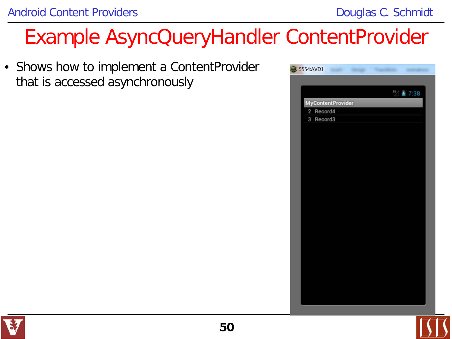• Shows how to implement a ContentProvider that is accessed asynchronously





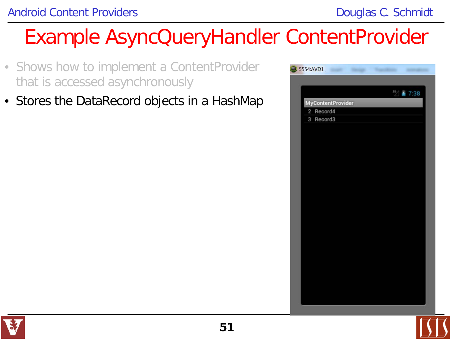- Shows how to implement a ContentProvider that is accessed asynchronously
- Stores the DataRecord objects in a HashMap



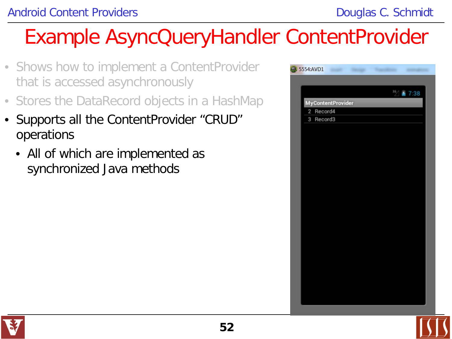- Shows how to implement a ContentProvider that is accessed asynchronously
- Stores the DataRecord objects in a HashMap
- Supports all the ContentProvider "CRUD" operations
	- All of which are implemented as synchronized Java methods

|                          | 12 ■ 7:38 |
|--------------------------|-----------|
| <b>MyContentProvider</b> |           |
| 2 Record4                |           |
| $\mathbf{3}$<br>Record3  |           |
|                          |           |
|                          |           |
|                          |           |
|                          |           |
|                          |           |
|                          |           |
|                          |           |
|                          |           |
|                          |           |
|                          |           |
|                          |           |
|                          |           |
|                          |           |
|                          |           |
|                          |           |
|                          |           |
|                          |           |
|                          |           |
|                          |           |
|                          |           |
|                          |           |
|                          |           |

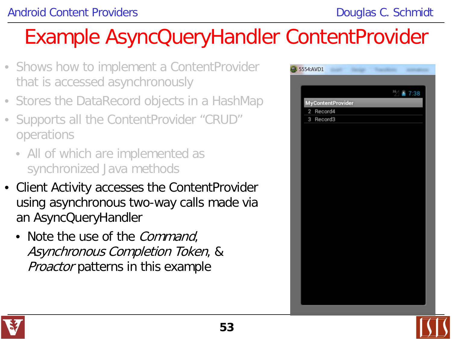- Shows how to implement a ContentProvider that is accessed asynchronously
- Stores the DataRecord objects in a HashMap
- Supports all the ContentProvider "CRUD" operations
	- All of which are implemented as synchronized Java methods
- Client Activity accesses the ContentProvider using asynchronous two-way calls made via an AsyncQueryHandler
	- Note the use of the *Command*, Asynchronous Completion Token, & **Proactor patterns in this example**



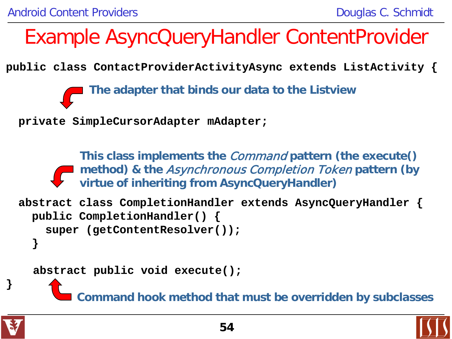**public class ContactProviderActivityAsync extends ListActivity {**

**The adapter that binds our data to the Listview**

**private SimpleCursorAdapter mAdapter;**

**This class implements the** Command **pattern (the execute() method) & the** Asynchronous Completion Token **pattern (by virtue of inheriting from AsyncQueryHandler)**

```
abstract class CompletionHandler extends AsyncQueryHandler {
   public CompletionHandler() { 
     super (getContentResolver()); 
   }
```
 **abstract public void execute();**

**Command hook method that must be overridden by subclasses**



**}**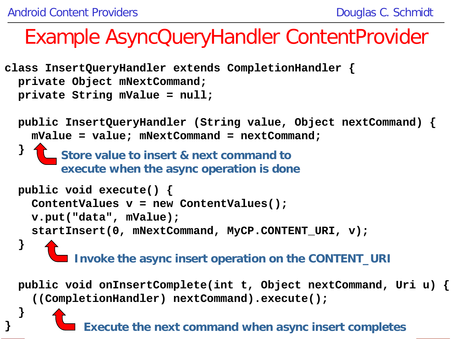**}**

**}**

#### Example AsyncQueryHandler ContentProvider

```
class InsertQueryHandler extends CompletionHandler {
   private Object mNextCommand; 
   private String mValue = null;
```

```
 
 public InsertQueryHandler (String value, Object nextCommand) { 
    mValue = value; mNextCommand = nextCommand; 
 }
   public void execute() {
     ContentValues v = new ContentValues(); 
     v.put("data", mValue);
     startInsert(0, mNextCommand, MyCP.CONTENT_URI, v);
   }
          Invoke the async insert operation on the CONTENT_URI
        Store value to insert & next command to 
        execute when the async operation is done
```
 **public void onInsertComplete(int t, Object nextCommand, Uri u) { ((CompletionHandler) nextCommand).execute();** 

**55 Execute the next command when async insert completes**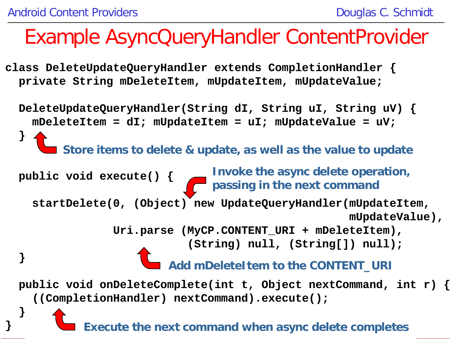**}** 

#### Example AsyncQueryHandler ContentProvider

**class DeleteUpdateQueryHandler extends CompletionHandler { private String mDeleteItem, mUpdateItem, mUpdateValue;**

 **DeleteUpdateQueryHandler(String dI, String uI, String uV) { mDeleteItem = dI; mUpdateItem = uI; mUpdateValue = uV; } public void execute() { startDelete(0, (Object) new UpdateQueryHandler(mUpdateItem, mUpdateValue), Uri.parse (MyCP.CONTENT\_URI + mDeleteItem), (String) null, (String[]) null); } public void onDeleteComplete(int t, Object nextCommand, int r) { ((CompletionHandler) nextCommand).execute(); } Store items to delete & update, as well as the value to update Invoke the async delete operation, passing in the next command Add mDeleteItem to the CONTENT\_URI**

**56 Execute the next command when async delete completes**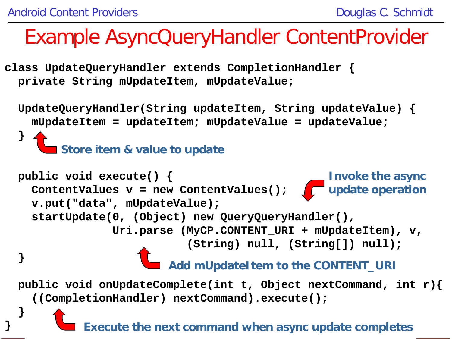**}**

**}**

#### Example AsyncQueryHandler ContentProvider

**class UpdateQueryHandler extends CompletionHandler { private String mUpdateItem, mUpdateValue;**

 **UpdateQueryHandler(String updateItem, String updateValue) { mUpdateItem = updateItem; mUpdateValue = updateValue; } public void execute() {** ContentValues **v** = new ContentValues();  $\int$  **v.put("data", mUpdateValue); startUpdate(0, (Object) new QueryQueryHandler(), Uri.parse (MyCP.CONTENT\_URI + mUpdateItem), v, (String) null, (String[]) null); }** Store item & value to update **Invoke the async update operation Add mUpdateItem to the CONTENT\_URI**

 **public void onUpdateComplete(int t, Object nextCommand, int r){ ((CompletionHandler) nextCommand).execute();** 

**57 Execute the next command when async update completes**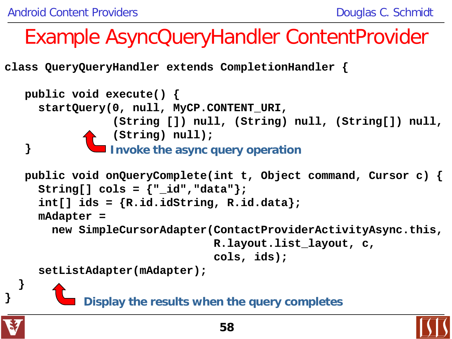**class QueryQueryHandler extends CompletionHandler {**

```
 public void execute() {
      startQuery(0, null, MyCP.CONTENT_URI, 
                    (String []) null, (String) null, (String[]) null, 
                   (String) null);
    }
    public void onQueryComplete(int t, Object command, Cursor c) {
     String[] \text{cols} = \{ \text{""}\ \text{id} \text{""}\ \text{data} \text{""}\ \} int[] ids = {R.id.idString, R.id.data};
      mAdapter = 
         new SimpleCursorAdapter(ContactProviderActivityAsync.this, 
                                     R.layout.list_layout, c, 
                                    cols, ids);
      setListAdapter(mAdapter);
 }
                  Invoke the async query operation
             Display the results when the query completes
```


**}**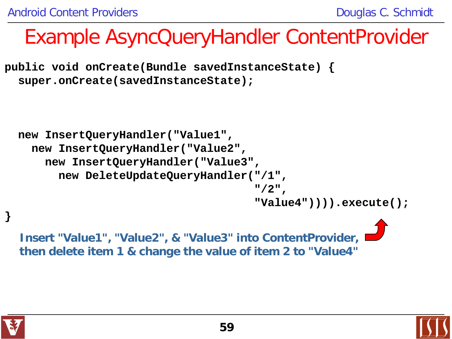**public void onCreate(Bundle savedInstanceState) { super.onCreate(savedInstanceState);**

```
 new InsertQueryHandler("Value1",
    new InsertQueryHandler("Value2",
      new InsertQueryHandler("Value3",
        new DeleteUpdateQueryHandler("/1", 
^{\circ} /2", ^{\circ} "Value4")))).execute();
```
**Insert "Value1", "Value2", & "Value3" into ContentProvider, then delete item 1 & change the value of item 2 to "Value4"**



**}**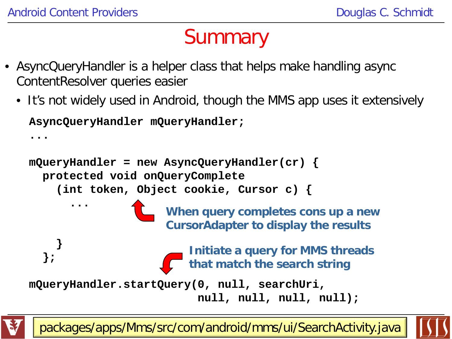**...**

#### **Summary**

- AsyncQueryHandler is a helper class that helps make handling async ContentResolver queries easier
	- It's not widely used in Android, though the MMS app uses it extensively **AsyncQueryHandler mQueryHandler;**

```
mQueryHandler = new AsyncQueryHandler(cr) {
   protected void onQueryComplete
     (int token, Object cookie, Cursor c) { 
.......
 }
 };
mQueryHandler.startQuery(0, null, searchUri, 
                            null, null, null, null);
                      When query completes cons up a new 
                      CursorAdapter to display the results
                         Initiate a query for MMS threads 
                         that match the search string
```
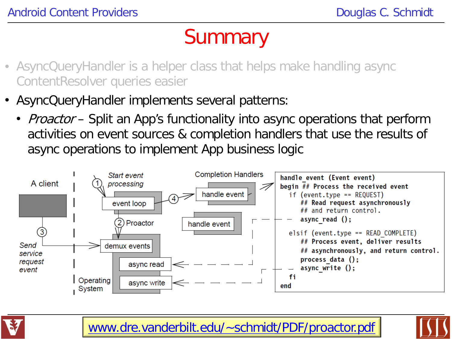#### **Summary**

- AsyncQueryHandler is a helper class that helps make handling async ContentResolver queries easier
- AsyncQueryHandler implements several patterns:
	- *Proactor* Split an App's functionality into async operations that perform activities on event sources & completion handlers that use the results of async operations to implement App business logic





[www.dre.vanderbilt.edu/~schmidt/PDF/proactor.pdf](http://www.dre.vanderbilt.edu/~schmidt/PDF/proactor.pdf) **61**